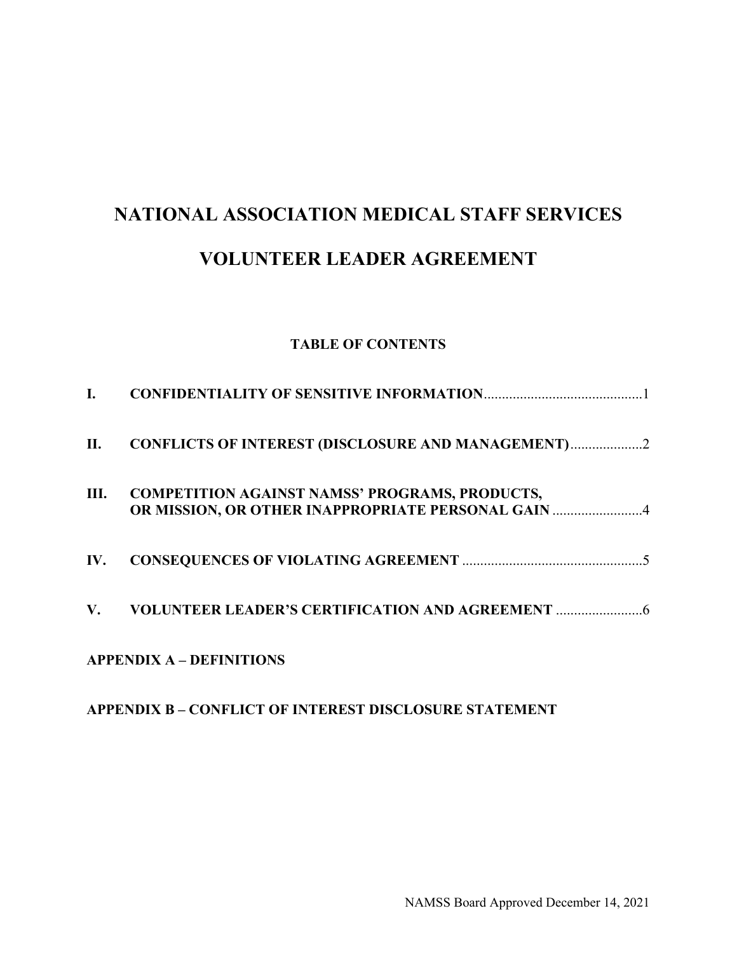#### **TABLE OF CONTENTS**

| L.          |                                                                                                             |
|-------------|-------------------------------------------------------------------------------------------------------------|
| II.         | <b>CONFLICTS OF INTEREST (DISCLOSURE AND MANAGEMENT)2</b>                                                   |
| Ш.          | <b>COMPETITION AGAINST NAMSS' PROGRAMS, PRODUCTS,</b><br>OR MISSION, OR OTHER INAPPROPRIATE PERSONAL GAIN 4 |
| IV.         |                                                                                                             |
| $V_{\star}$ |                                                                                                             |
|             | <b>APPENDIX A - DEFINITIONS</b>                                                                             |

# **APPENDIX B – CONFLICT OF INTEREST DISCLOSURE STATEMENT**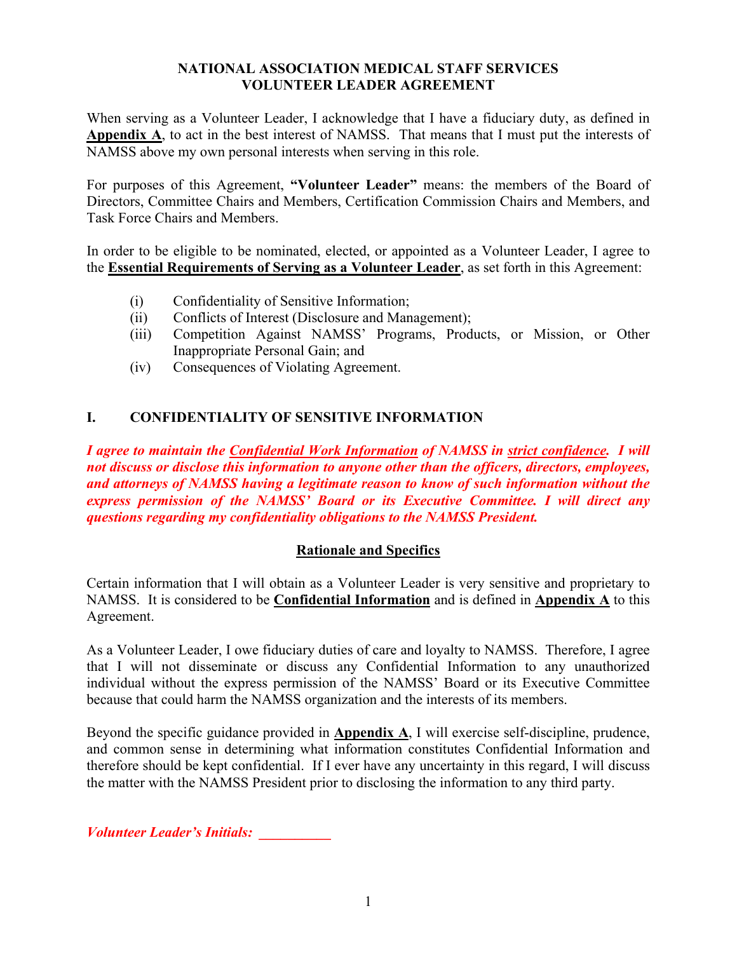When serving as a Volunteer Leader, I acknowledge that I have a fiduciary duty, as defined in **Appendix A**, to act in the best interest of NAMSS. That means that I must put the interests of NAMSS above my own personal interests when serving in this role.

For purposes of this Agreement, **"Volunteer Leader"** means: the members of the Board of Directors, Committee Chairs and Members, Certification Commission Chairs and Members, and Task Force Chairs and Members.

In order to be eligible to be nominated, elected, or appointed as a Volunteer Leader, I agree to the **Essential Requirements of Serving as a Volunteer Leader**, as set forth in this Agreement:

- (i) Confidentiality of Sensitive Information;
- (ii) Conflicts of Interest (Disclosure and Management);
- (iii) Competition Against NAMSS' Programs, Products, or Mission, or Other Inappropriate Personal Gain; and
- (iv) Consequences of Violating Agreement.

# **I. CONFIDENTIALITY OF SENSITIVE INFORMATION**

*I agree to maintain the Confidential Work Information of NAMSS in strict confidence. I will not discuss or disclose this information to anyone other than the officers, directors, employees, and attorneys of NAMSS having a legitimate reason to know of such information without the express permission of the NAMSS' Board or its Executive Committee. I will direct any questions regarding my confidentiality obligations to the NAMSS President.*

# **Rationale and Specifics**

Certain information that I will obtain as a Volunteer Leader is very sensitive and proprietary to NAMSS. It is considered to be **Confidential Information** and is defined in **Appendix A** to this Agreement.

As a Volunteer Leader, I owe fiduciary duties of care and loyalty to NAMSS. Therefore, I agree that I will not disseminate or discuss any Confidential Information to any unauthorized individual without the express permission of the NAMSS' Board or its Executive Committee because that could harm the NAMSS organization and the interests of its members.

Beyond the specific guidance provided in **Appendix A**, I will exercise self-discipline, prudence, and common sense in determining what information constitutes Confidential Information and therefore should be kept confidential. If I ever have any uncertainty in this regard, I will discuss the matter with the NAMSS President prior to disclosing the information to any third party.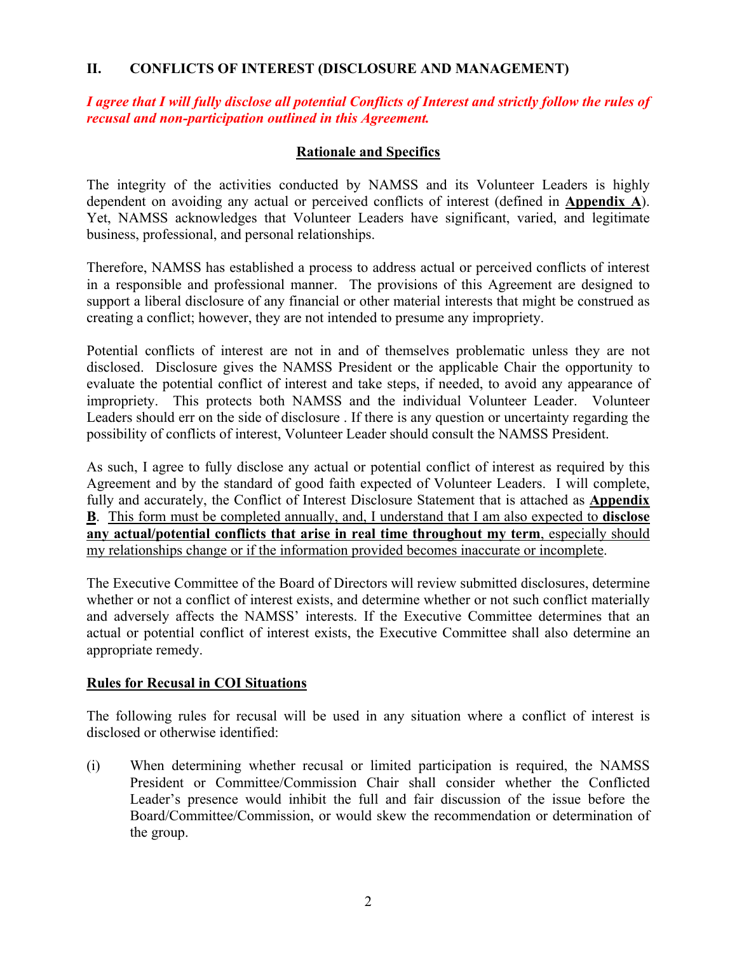#### **II. CONFLICTS OF INTEREST (DISCLOSURE AND MANAGEMENT)**

*I agree that I will fully disclose all potential Conflicts of Interest and strictly follow the rules of recusal and non-participation outlined in this Agreement.* 

#### **Rationale and Specifics**

The integrity of the activities conducted by NAMSS and its Volunteer Leaders is highly dependent on avoiding any actual or perceived conflicts of interest (defined in **Appendix A**). Yet, NAMSS acknowledges that Volunteer Leaders have significant, varied, and legitimate business, professional, and personal relationships.

Therefore, NAMSS has established a process to address actual or perceived conflicts of interest in a responsible and professional manner. The provisions of this Agreement are designed to support a liberal disclosure of any financial or other material interests that might be construed as creating a conflict; however, they are not intended to presume any impropriety.

Potential conflicts of interest are not in and of themselves problematic unless they are not disclosed. Disclosure gives the NAMSS President or the applicable Chair the opportunity to evaluate the potential conflict of interest and take steps, if needed, to avoid any appearance of impropriety. This protects both NAMSS and the individual Volunteer Leader. Volunteer Leaders should err on the side of disclosure . If there is any question or uncertainty regarding the possibility of conflicts of interest, Volunteer Leader should consult the NAMSS President.

As such, I agree to fully disclose any actual or potential conflict of interest as required by this Agreement and by the standard of good faith expected of Volunteer Leaders. I will complete, fully and accurately, the Conflict of Interest Disclosure Statement that is attached as **Appendix B**. This form must be completed annually, and, I understand that I am also expected to **disclose any actual/potential conflicts that arise in real time throughout my term**, especially should my relationships change or if the information provided becomes inaccurate or incomplete.

The Executive Committee of the Board of Directors will review submitted disclosures, determine whether or not a conflict of interest exists, and determine whether or not such conflict materially and adversely affects the NAMSS' interests. If the Executive Committee determines that an actual or potential conflict of interest exists, the Executive Committee shall also determine an appropriate remedy.

#### **Rules for Recusal in COI Situations**

The following rules for recusal will be used in any situation where a conflict of interest is disclosed or otherwise identified:

(i) When determining whether recusal or limited participation is required, the NAMSS President or Committee/Commission Chair shall consider whether the Conflicted Leader's presence would inhibit the full and fair discussion of the issue before the Board/Committee/Commission, or would skew the recommendation or determination of the group.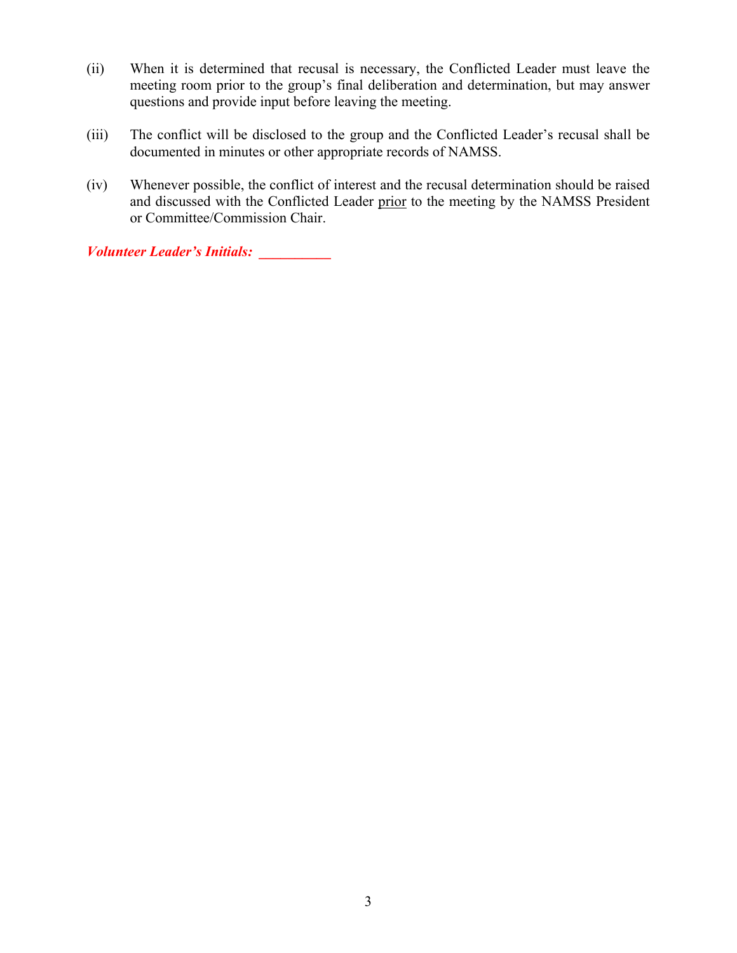- (ii) When it is determined that recusal is necessary, the Conflicted Leader must leave the meeting room prior to the group's final deliberation and determination, but may answer questions and provide input before leaving the meeting.
- (iii) The conflict will be disclosed to the group and the Conflicted Leader's recusal shall be documented in minutes or other appropriate records of NAMSS.
- (iv) Whenever possible, the conflict of interest and the recusal determination should be raised and discussed with the Conflicted Leader prior to the meeting by the NAMSS President or Committee/Commission Chair.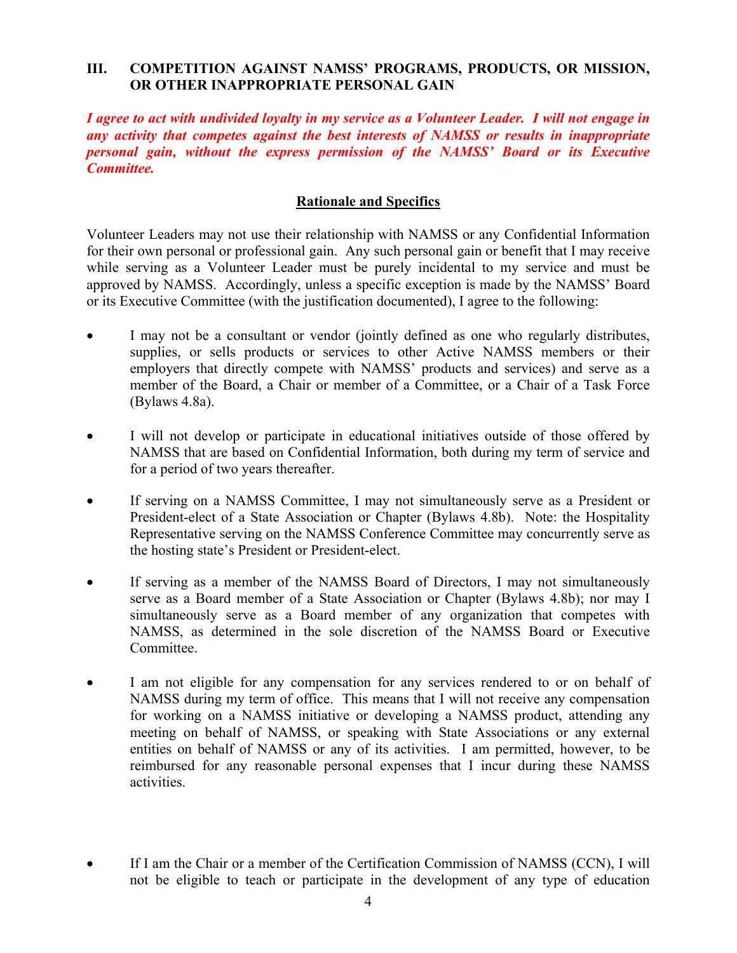## **III. COMPETITION AGAINST NAMSS' PROGRAMS, PRODUCTS, OR MISSION, OR OTHER INAPPROPRIATE PERSONAL GAIN**

*I agree to act with undivided loyalty in my service as a Volunteer Leader. I will not engage in any activity that competes against the best interests of NAMSS or results in inappropriate personal gain, without the express permission of the NAMSS' Board or its Executive Committee.* 

## **Rationale and Specifics**

Volunteer Leaders may not use their relationship with NAMSS or any Confidential Information for their own personal or professional gain. Any such personal gain or benefit that I may receive while serving as a Volunteer Leader must be purely incidental to my service and must be approved by NAMSS. Accordingly, unless a specific exception is made by the NAMSS' Board or its Executive Committee (with the justification documented), I agree to the following:

- I may not be a consultant or vendor (jointly defined as one who regularly distributes, supplies, or sells products or services to other Active NAMSS members or their employers that directly compete with NAMSS' products and services) and serve as a member of the Board, a Chair or member of a Committee, or a Chair of a Task Force (Bylaws 4.8a).
- I will not develop or participate in educational initiatives outside of those offered by NAMSS that are based on Confidential Information, both during my term of service and for a period of two years thereafter.
- If serving on a NAMSS Committee, I may not simultaneously serve as a President or President-elect of a State Association or Chapter (Bylaws 4.8b). Note: the Hospitality Representative serving on the NAMSS Conference Committee may concurrently serve as the hosting state's President or President-elect.
- If serving as a member of the NAMSS Board of Directors, I may not simultaneously serve as a Board member of a State Association or Chapter (Bylaws 4.8b); nor may I simultaneously serve as a Board member of any organization that competes with NAMSS, as determined in the sole discretion of the NAMSS Board or Executive Committee.
- I am not eligible for any compensation for any services rendered to or on behalf of NAMSS during my term of office. This means that I will not receive any compensation for working on a NAMSS initiative or developing a NAMSS product, attending any meeting on behalf of NAMSS, or speaking with State Associations or any external entities on behalf of NAMSS or any of its activities. I am permitted, however, to be reimbursed for any reasonable personal expenses that I incur during these NAMSS activities.
- If I am the Chair or a member of the Certification Commission of NAMSS (CCN), I will not be eligible to teach or participate in the development of any type of education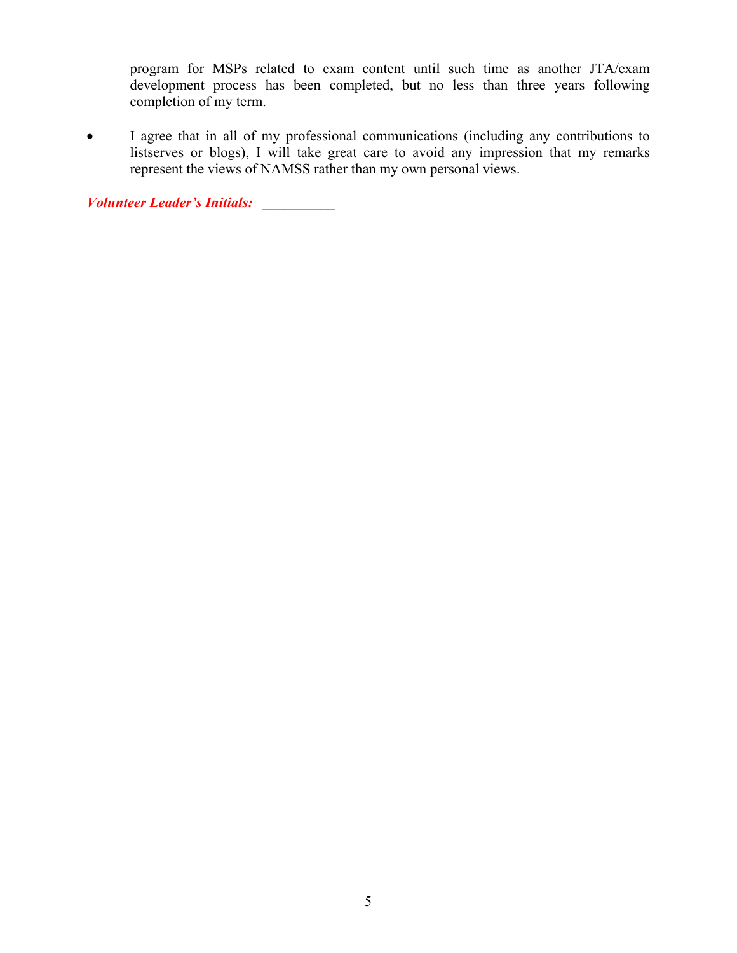program for MSPs related to exam content until such time as another JTA/exam development process has been completed, but no less than three years following completion of my term.

 I agree that in all of my professional communications (including any contributions to listserves or blogs), I will take great care to avoid any impression that my remarks represent the views of NAMSS rather than my own personal views.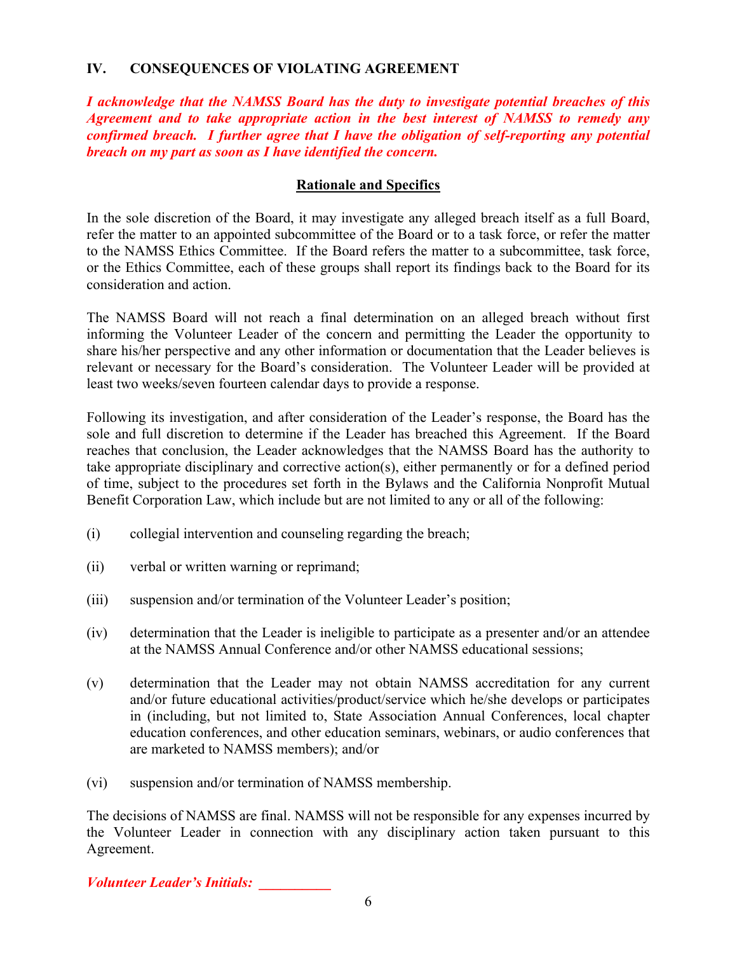## **IV. CONSEQUENCES OF VIOLATING AGREEMENT**

*I acknowledge that the NAMSS Board has the duty to investigate potential breaches of this Agreement and to take appropriate action in the best interest of NAMSS to remedy any confirmed breach. I further agree that I have the obligation of self-reporting any potential breach on my part as soon as I have identified the concern.* 

## **Rationale and Specifics**

In the sole discretion of the Board, it may investigate any alleged breach itself as a full Board, refer the matter to an appointed subcommittee of the Board or to a task force, or refer the matter to the NAMSS Ethics Committee. If the Board refers the matter to a subcommittee, task force, or the Ethics Committee, each of these groups shall report its findings back to the Board for its consideration and action.

The NAMSS Board will not reach a final determination on an alleged breach without first informing the Volunteer Leader of the concern and permitting the Leader the opportunity to share his/her perspective and any other information or documentation that the Leader believes is relevant or necessary for the Board's consideration. The Volunteer Leader will be provided at least two weeks/seven fourteen calendar days to provide a response.

Following its investigation, and after consideration of the Leader's response, the Board has the sole and full discretion to determine if the Leader has breached this Agreement. If the Board reaches that conclusion, the Leader acknowledges that the NAMSS Board has the authority to take appropriate disciplinary and corrective action(s), either permanently or for a defined period of time, subject to the procedures set forth in the Bylaws and the California Nonprofit Mutual Benefit Corporation Law, which include but are not limited to any or all of the following:

- (i) collegial intervention and counseling regarding the breach;
- (ii) verbal or written warning or reprimand;
- (iii) suspension and/or termination of the Volunteer Leader's position;
- (iv) determination that the Leader is ineligible to participate as a presenter and/or an attendee at the NAMSS Annual Conference and/or other NAMSS educational sessions;
- (v) determination that the Leader may not obtain NAMSS accreditation for any current and/or future educational activities/product/service which he/she develops or participates in (including, but not limited to, State Association Annual Conferences, local chapter education conferences, and other education seminars, webinars, or audio conferences that are marketed to NAMSS members); and/or
- (vi) suspension and/or termination of NAMSS membership.

The decisions of NAMSS are final. NAMSS will not be responsible for any expenses incurred by the Volunteer Leader in connection with any disciplinary action taken pursuant to this Agreement.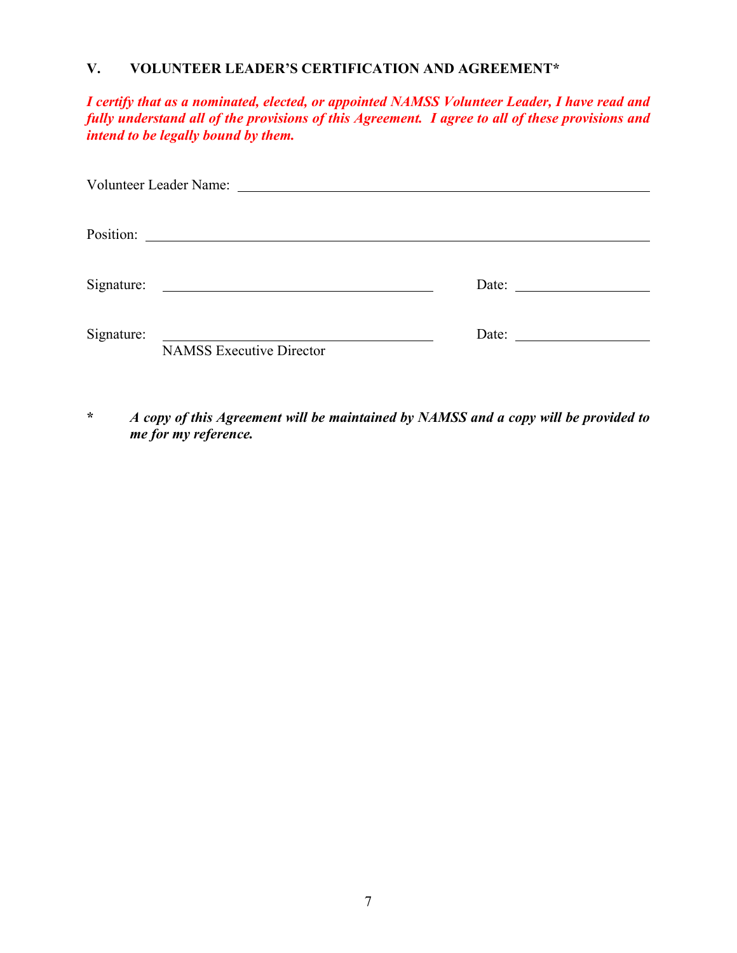# **V. VOLUNTEER LEADER'S CERTIFICATION AND AGREEMENT\***

*I certify that as a nominated, elected, or appointed NAMSS Volunteer Leader, I have read and fully understand all of the provisions of this Agreement. I agree to all of these provisions and intend to be legally bound by them.* 

| Position:  | <u> Alexandria de la contrada de la contrada de la contrada de la contrada de la contrada de la contrada de la c</u> |                       |  |  |
|------------|----------------------------------------------------------------------------------------------------------------------|-----------------------|--|--|
|            |                                                                                                                      |                       |  |  |
|            |                                                                                                                      | Date: $\qquad \qquad$ |  |  |
|            |                                                                                                                      |                       |  |  |
| Signature: | the contract of the contract of the contract of the contract of the contract of the contract of the contract of      | Date: $\qquad \qquad$ |  |  |
|            | <b>NAMSS Executive Director</b>                                                                                      |                       |  |  |

**\*** *A copy of this Agreement will be maintained by NAMSS and a copy will be provided to me for my reference.*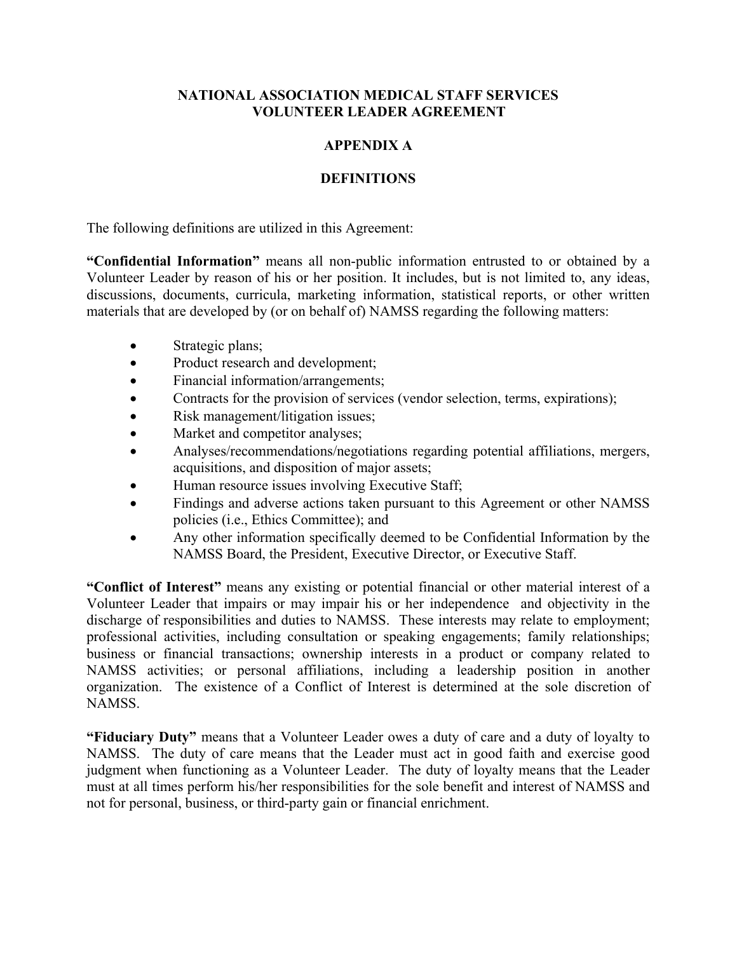#### **APPENDIX A**

#### **DEFINITIONS**

The following definitions are utilized in this Agreement:

**"Confidential Information"** means all non-public information entrusted to or obtained by a Volunteer Leader by reason of his or her position. It includes, but is not limited to, any ideas, discussions, documents, curricula, marketing information, statistical reports, or other written materials that are developed by (or on behalf of) NAMSS regarding the following matters:

- Strategic plans;
- Product research and development;
- Financial information/arrangements;
- Contracts for the provision of services (vendor selection, terms, expirations);
- Risk management/litigation issues;
- Market and competitor analyses;
- Analyses/recommendations/negotiations regarding potential affiliations, mergers, acquisitions, and disposition of major assets;
- Human resource issues involving Executive Staff;
- Findings and adverse actions taken pursuant to this Agreement or other NAMSS policies (i.e., Ethics Committee); and
- Any other information specifically deemed to be Confidential Information by the NAMSS Board, the President, Executive Director, or Executive Staff.

**"Conflict of Interest"** means any existing or potential financial or other material interest of a Volunteer Leader that impairs or may impair his or her independence and objectivity in the discharge of responsibilities and duties to NAMSS. These interests may relate to employment; professional activities, including consultation or speaking engagements; family relationships; business or financial transactions; ownership interests in a product or company related to NAMSS activities; or personal affiliations, including a leadership position in another organization. The existence of a Conflict of Interest is determined at the sole discretion of NAMSS.

**"Fiduciary Duty"** means that a Volunteer Leader owes a duty of care and a duty of loyalty to NAMSS. The duty of care means that the Leader must act in good faith and exercise good judgment when functioning as a Volunteer Leader. The duty of loyalty means that the Leader must at all times perform his/her responsibilities for the sole benefit and interest of NAMSS and not for personal, business, or third-party gain or financial enrichment.